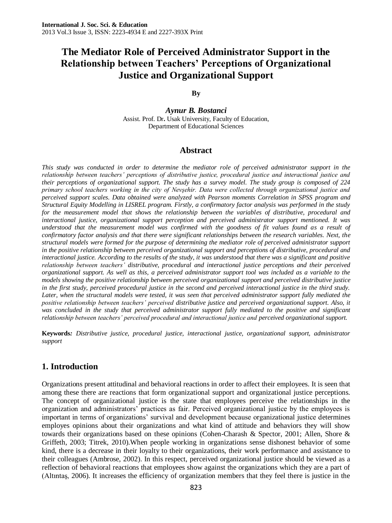# **The Mediator Role of Perceived Administrator Support in the Relationship between Teachers' Perceptions of Organizational Justice and Organizational Support**

#### **By**

*Aynur B. Bostanci* Assist. Prof. Dr**.** Usak University, Faculty of Education, Department of Educational Sciences

#### **Abstract**

*This study was conducted in order to determine the mediator role of perceived administrator support in the relationship between teachers' perceptions of distributive justice, procedural justice and interactional justice and their perceptions of organizational support. The study has a survey model. The study group is composed of 224 primary school teachers working in the city of Nevşehir. Data were collected through organizational justice and perceived support scales. Data obtained were analyzed with Pearson moments Correlation in SPSS program and Structural Equity Modelling in LISREL program. Firstly, a confirmatory factor analysis was performed in the study for the measurement model that shows the relationship between the variables of distributive, procedural and interactional justice, organizational support perception and perceived administrator support mentioned. It was understood that the measurement model was confirmed with the goodness of fit values found as a result of confirmatory factor analysis and that there were significant relationships between the research variables. Next, the structural models were formed for the purpose of determining the mediator role of perceived administrator support in the positive relationship between perceived organizational support and perceptions of distributive, procedural and interactional justice. According to the results of the study, it was understood that there was a significant and positive relationship between teachers' distributive, procedural and interactional justice perceptions and their perceived organizational support. As well as this, a perceived administrator support tool was included as a variable to the models showing the positive relationship between perceived organizational support and perceived distributive justice*  in the first study, perceived procedural justice in the second and perceived interactional justice in the third study. *Later, when the structural models were tested, it was seen that perceived administrator support fully mediated the positive relationship between teachers' perceived distributive justice and perceived organizational support. Also, it was concluded in the study that perceived administrator support fully mediated to the positive and significant relationship between teachers' perceived procedural and interactional justice and perceived organizational support.* 

**Keywords***: Distributive justice, procedural justice, interactional justice, organizational support, administrator support* 

### **1. Introduction**

Organizations present attitudinal and behavioral reactions in order to affect their employees. It is seen that among these there are reactions that form organizational support and organizational justice perceptions. The concept of organizational justice is the state that employees perceive the relationships in the organization and administrators' practices as fair. Perceived organizational justice by the employees is important in terms of organizations' survival and development because organizational justice determines employes opinions about their organizations and what kind of attitude and behaviors they will show towards their organizations based on these opinions (Cohen-Charash & Spector, 2001; Allen, Shore & Griffeth, 2003; Titrek, 2010).When people working in organizations sense dishonest behavior of some kind, there is a decrease in their loyalty to their organizations, their work performance and assistance to their colleagues (Ambrose, 2002). In this respect, perceived organizational justice should be viewed as a reflection of behavioral reactions that employees show against the organizations which they are a part of (Altıntaş, 2006). It increases the efficiency of organization members that they feel there is justice in the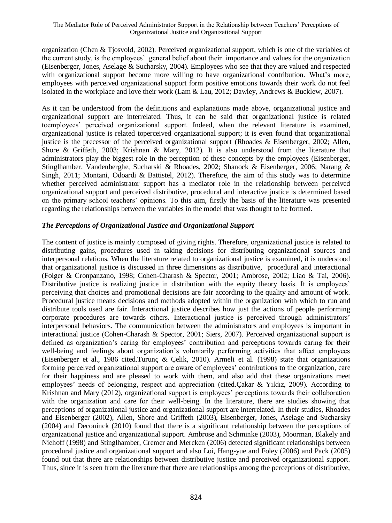organization (Chen & Tjosvold, 2002). Perceived organizational support, which is one of the variables of the current study, is the employees' general belief about their importance and values for the organization (Eisenberger, Jones, Aselage & Sucharsky, 2004). Employees who see that they are valued and respected with organizational support become more willing to have organizational contribution. What's more, employees with perceived organizational support form positive emotions towards their work do not feel isolated in the workplace and love their work (Lam & Lau, 2012; Dawley, Andrews & Bucklew, 2007).

As it can be understood from the definitions and explanations made above, organizational justice and organizational support are interrelated. Thus, it can be said that organizational justice is related toemployees' perceived organizational support. Indeed, when the relevant literature is examined, organizational justice is related toperceived organizational support; it is even found that organizational justice is the precessor of the perceived organizational support (Rhoades & Eisenberger, 2002; Allen, Shore & Griffeth, 2003; Krishnan & Mary, 2012). It is also understood from the literature that administrators play the biggest role in the perception of these concepts by the employees (Eisenberger, Stinglhamber, Vandenberghe, Sucharski & Rhoades, 2002; Shanock & Eisenberger, 2006; Narang & Singh, 2011; Montani, Odoardi & Battistel, 2012). Therefore, the aim of this study was to determine whether perceived administrator support has a mediator role in the relationship between perceived organizational support and perceived distributive, procedural and interactive justice is determined based on the primary school teachers' opinions. To this aim, firstly the basis of the literature was presented regarding the relationships between the variables in the model that was thought to be formed.

### *The Perceptions of Organizational Justice and Organizational Support*

The content of justice is mainly composed of giving rights. Therefore, organizational justice is related to distributing gains, procedures used in taking decisions for distributing organizational sources and interpersonal relations. When the literature related to organizational justice is examined, it is understood that organizational justice is discussed in three dimensions as distributive, procedural and interactional (Folger & Cronpanzano, 1998; Cohen-Charash & Spector, 2001; Ambrose, 2002; Liao & Tai, 2006). Distributive justice is realizing justice in distribution with the equity theory basis. It is employees' perceiving that choices and promotional decisions are fair according to the quality and amount of work. Procedural justice means decisions and methods adopted within the organization with which to run and distribute tools used are fair. Interactional justice describes how just the actions of people performing corporate procedures are towards others. Interactional justice is perceived through administrators' interpersonal behaviors. The communication between the administrators and employees is important in interactional justice (Cohen-Charash & Spector, 2001; Siers, 2007). Perceived organizational support is defined as organization's caring for employees' contribution and perceptions towards caring for their well-being and feelings about organization's voluntarily performing activities that affect employees (Eisenberger et al., 1986 cited.Turunç & Çelik, 2010). Armeli et al. (1998) state that organizations forming perceived organizational support are aware of employees' contributions to the organization, care for their happiness and are pleased to work with them, and also add that these organizations meet employees' needs of belonging, respect and appreciation (cited.Çakar & Yıldız, 2009). According to Krishnan and Mary (2012), organizational support is employees' perceptions towards their collaboration with the organization and care for their well-being. In the literature, there are studies showing that perceptions of organizational justice and organizational support are interrelated. In their studies, Rhoades and Eisenberger (2002), Allen, Shore and Griffeth (2003), Eisenberger, Jones, Aselage and Sucharsky (2004) and Deconinck (2010) found that there is a significant relationship between the perceptions of organizational justice and organizational support. Ambrose and Schminke (2003), Moorman, Blakely and Niehoff (1998) and Stinglhamber, Cremer and Mercken (2006) detected significant relationships between procedural justice and organizational support and also Loi, Hang-yue and Foley (2006) and Pack (2005) found out that there are relationships between distributive justice and perceived organizational support. Thus, since it is seen from the literature that there are relationships among the perceptions of distributive,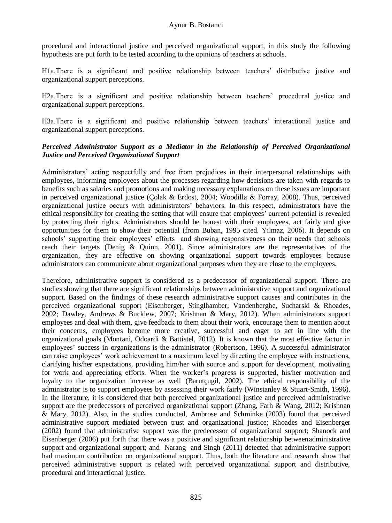procedural and interactional justice and perceived organizational support, in this study the following hypothesis are put forth to be tested according to the opinions of teachers at schools.

H1a.There is a significant and positive relationship between teachers' distributive justice and organizational support perceptions.

H2a.There is a significant and positive relationship between teachers' procedural justice and organizational support perceptions.

H3a.There is a significant and positive relationship between teachers' interactional justice and organizational support perceptions.

#### *Perceived Administrator Support as a Mediator in the Relationship of Perceived Organizational Justice and Perceived Organizational Support*

Administrators' acting respectfully and free from prejudices in their interpersonal relationships with employees, informing employees about the processes regarding how decisions are taken with regards to benefits such as salaries and promotions and making necessary explanations on these issues are important in perceived organizational justice (Çolak & Erdost, 2004; Woodilla & Forray, 2008). Thus, perceived organizational justice occurs with administrators' behaviors. In this respect, administrators have the ethical responsibility for creating the setting that will ensure that employees' current potential is revealed by protecting their rights. Administrators should be honest with their employees, act fairly and give opportunities for them to show their potential (from Buban, 1995 cited. Yılmaz, 2006). It depends on schools' supporting their employees' efforts and showing responsiveness on their needs that schools reach their targets (Denig & Quinn, 2001). Since administrators are the representatives of the organization, they are effective on showing organizational support towards employees because administrators can communicate about organizational purposes when they are close to the employees.

Therefore, administrative support is considered as a predecessor of organizational support. There are studies showing that there are significant relationships between administrative support and organizational support. Based on the findings of these research administrative support causes and contributes in the perceived organizational support (Eisenberger, Stinglhamber, Vandenberghe, Sucharski & Rhoades, 2002; Dawley, Andrews & Bucklew, 2007; Krishnan & Mary, 2012). When administrators support employees and deal with them, give feedback to them about their work, encourage them to mention about their concerns, employees become more creative, successful and eager to act in line with the organizational goals (Montani, Odoardi & Battistel, 2012). It is known that the most effective factor in employees' success in organizations is the administrator (Robertson, 1996). A successful administrator can raise employees' work achievement to a maximum level by directing the employee with instructions, clarifying his/her expectations, providing him/her with source and support for development, motivating for work and appreciating efforts. When the worker's progress is supported, his/her motivation and loyalty to the organization increase as well (Barutçugil, 2002). The ethical responsibility of the administrator is to support employees by assessing their work fairly (Winstanley & Stuart-Smith, 1996). In the literature, it is considered that both perceived organizational justice and perceived administrative support are the predecessors of perceived organizational support (Zhang, Farh & Wang, 2012; Krishnan & Mary, 2012). Also, in the studies conducted, Ambrose and Schminke (2003) found that perceived administrative support mediated between trust and organizational justice; Rhoades and Eisenberger (2002) found that administrative support was the predecessor of organizational support; Shanock and Eisenberger (2006) put forth that there was a positive and significant relationship betweenadministrative support and organizational support; and Narang and Singh (2011) detected that administrative support had maximum contribution on organizational support. Thus, both the literature and research show that perceived administrative support is related with perceived organizational support and distributive, procedural and interactional justice.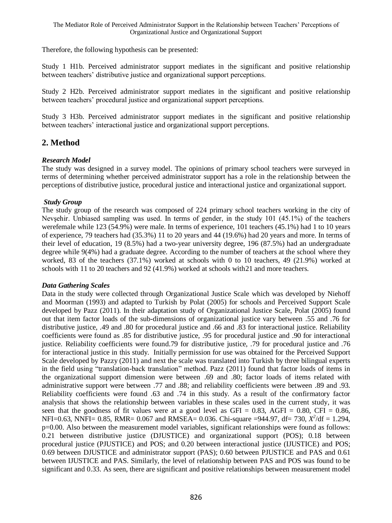Therefore, the following hypothesis can be presented:

Study 1 H1b. Perceived administrator support mediates in the significant and positive relationship between teachers' distributive justice and organizational support perceptions.

Study 2 H2b. Perceived administrator support mediates in the significant and positive relationship between teachers' procedural justice and organizational support perceptions.

Study 3 H3b. Perceived administrator support mediates in the significant and positive relationship between teachers' interactional justice and organizational support perceptions.

# **2. Method**

### *Research Model*

The study was designed in a survey model. The opinions of primary school teachers were surveyed in terms of determining whether perceived administrator support has a role in the relationship between the perceptions of distributive justice, procedural justice and interactional justice and organizational support.

### *Study Group*

The study group of the research was composed of 224 primary school teachers working in the city of Nevşehir. Unbiased sampling was used. In terms of gender, in the study 101 (45.1%) of the teachers werefemale while 123 (54.9%) were male. In terms of experience, 101 teachers (45.1%) had 1 to 10 years of experience, 79 teachers had (35.3%) 11 to 20 years and 44 (19.6%) had 20 years and more. In terms of their level of education, 19 (8.5%) had a two-year university degree, 196 (87.5%) had an undergraduate degree while 9(4%) had a graduate degree. According to the number of teachers at the school where they worked, 83 of the teachers (37.1%) worked at schools with 0 to 10 teachers, 49 (21.9%) worked at schools with 11 to 20 teachers and 92 (41.9%) worked at schools with21 and more teachers.

#### *Data Gathering Scales*

Data in the study were collected through Organizational Justice Scale which was developed by Niehoff and Moorman (1993) and adapted to Turkish by Polat (2005) for schools and Perceived Support Scale developed by Pazz (2011). In their adaptation study of Organizational Justice Scale, Polat (2005) found out that item factor loads of the sub-dimensions of organizational justice vary between .55 and .76 for distributive justice, .49 and .80 for procedural justice and .66 and .83 for interactional justice. Reliability coefficients were found as .85 for distributive justice, .95 for procedural justice and .90 for interactional justice. Reliability coefficients were found.79 for distributive justice, .79 for procedural justice and .76 for interactional justice in this study. Initially permission for use was obtained for the Perceived Support Scale developed by Pazzy (2011) and next the scale was translated into Turkish by three bilingual experts in the field using "translation-back translation" method. Pazz (2011) found that factor loads of items in the organizational support dimension were between .69 and .80; factor loads of items related with administrative support were between .77 and .88; and reliability coefficients were between .89 and .93. Reliability coefficients were found .63 and .74 in this study. As a result of the confirmatory factor analysis that shows the relationship between variables in these scales used in the current study, it was seen that the goodness of fit values were at a good level as  $GFI = 0.83$ ,  $AGFI = 0.80$ ,  $CFI = 0.86$ , NFI=0.63, NNFI= 0.85, RMR= 0.067 and RMSEA= 0.036. Chi-square =944.97, df= 730,  $X^2$ /df = 1.294, p=0.00. Also between the measurement model variables, significant relationships were found as follows: 0.21 between distributive justice (DJUSTICE) and organizational support (POS); 0.18 between procedural justice (PJUSTICE) and POS; and 0.20 between interactional justice (IJUSTICE) and POS; 0.69 between DJUSTICE and administrator support (PAS); 0.60 between PJUSTICE and PAS and 0.61 between IJUSTICE and PAS. Similarly, the level of relationship between PAS and POS was found to be significant and 0.33. As seen, there are significant and positive relationships between measurement model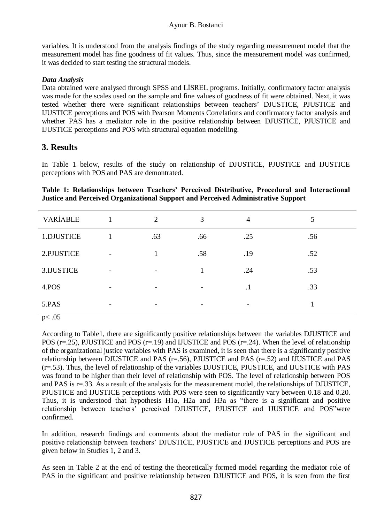variables. It is understood from the analysis findings of the study regarding measurement model that the measurement model has fine goodness of fit values. Thus, since the measurement model was confirmed, it was decided to start testing the structural models.

### *Data Analysis*

Data obtained were analysed through SPSS and LİSREL programs. Initially, confirmatory factor analysis was made for the scales used on the sample and fine values of goodness of fit were obtained. Next, it was tested whether there were significant relationships between teachers' DJUSTICE, PJUSTICE and IJUSTICE perceptions and POS with Pearson Moments Correlations and confirmatory factor analysis and whether PAS has a mediator role in the positive relationship between DJUSTICE, PJUSTICE and IJUSTICE perceptions and POS with structural equation modelling.

# **3. Results**

In Table 1 below, results of the study on relationship of DJUSTICE, PJUSTICE and IJUSTICE perceptions with POS and PAS are demontrated.

|                                                                                          | Table 1: Relationships between Teachers' Perceived Distributive, Procedural and Interactional |  |  |  |  |  |  |  |  |  |
|------------------------------------------------------------------------------------------|-----------------------------------------------------------------------------------------------|--|--|--|--|--|--|--|--|--|
| <b>Justice and Perceived Organizational Support and Perceived Administrative Support</b> |                                                                                               |  |  |  |  |  |  |  |  |  |

| VARİABLE   | 2   | 3   | $\overline{4}$ |     |
|------------|-----|-----|----------------|-----|
| 1.DJUSTICE | .63 | .66 | .25            | .56 |
| 2.PJUSTICE |     | .58 | .19            | .52 |
| 3.IJUSTICE |     | 1   | .24            | .53 |
| 4.POS      |     |     | $\cdot$ 1      | .33 |
| 5.PAS      |     |     |                |     |

p< .05

According to Table1, there are significantly positive relationships between the variables DJUSTICE and POS ( $r=25$ ), PJUSTICE and POS ( $r=19$ ) and IJUSTICE and POS ( $r=24$ ). When the level of relationship of the organizational justice variables with PAS is examined, it is seen that there is a significantly positive relationship between DJUSTICE and PAS (r=.56), PJUSTICE and PAS (r=.52) and IJUSTICE and PAS (r=.53). Thus, the level of relationship of the variables DJUSTICE, PJUSTICE, and IJUSTICE with PAS was found to be higher than their level of relationship with POS. The level of relationship between POS and PAS is r=.33. As a result of the analysis for the measurement model, the relationships of DJUSTICE, PJUSTICE and IJUSTICE perceptions with POS were seen to significantly vary between 0.18 and 0.20. Thus, it is understood that hypothesis H1a, H2a and H3a as "there is a significant and positive relationship between teachers' perceived DJUSTICE, PJUSTICE and IJUSTICE and POS"were confirmed.

In addition, research findings and comments about the mediator role of PAS in the significant and positive relationship between teachers' DJUSTICE, PJUSTICE and IJUSTICE perceptions and POS are given below in Studies 1, 2 and 3.

As seen in Table 2 at the end of testing the theoretically formed model regarding the mediator role of PAS in the significant and positive relationship between DJUSTICE and POS, it is seen from the first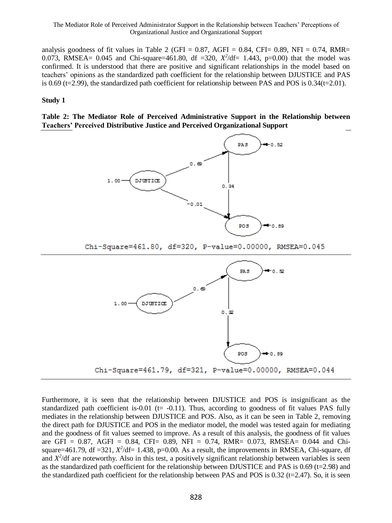analysis goodness of fit values in Table 2 (GFI =  $0.87$ , AGFI =  $0.84$ , CFI=  $0.89$ , NFI =  $0.74$ , RMR= 0.073, RMSEA= 0.045 and Chi-square=461.80, df =320,  $X^2/df= 1.443$ , p=0.00) that the model was confirmed. It is understood that there are positive and significant relationships in the model based on teachers' opinions as the standardized path coefficient for the relationship between DJUSTICE and PAS is 0.69 (t=2.99), the standardized path coefficient for relationship between PAS and POS is  $0.34$ (t=2.01).

#### **Study 1**

**Table 2: The Mediator Role of Perceived Administrative Support in the Relationship between Teachers' Perceived Distributive Justice and Perceived Organizational Support** 



Furthermore, it is seen that the relationship between DJUSTICE and POS is insignificant as the standardized path coefficient is-0.01 ( $t = -0.11$ ). Thus, according to goodness of fit values PAS fully mediates in the relationship between DJUSTICE and POS. Also, as it can be seen in Table 2, removing the direct path for DJUSTICE and POS in the mediator model, the model was tested again for mediating and the goodness of fit values seemed to improve. As a result of this analysis, the goodness of fit values are GFI =  $0.87$ , AGFI =  $0.84$ , CFI=  $0.89$ , NFI =  $0.74$ , RMR=  $0.073$ , RMSEA=  $0.044$  and Chisquare=461.79, df =321,  $X^2$ /df= 1.438, p=0.00. As a result, the improvements in RMSEA, Chi-square, df and  $X^2$ /df are noteworthy. Also in this test, a positively significant relationship between variables is seen as the standardized path coefficient for the relationship between DJUSTICE and PAS is  $0.69$  (t=2.98) and the standardized path coefficient for the relationship between PAS and POS is  $0.32$  (t=2.47). So, it is seen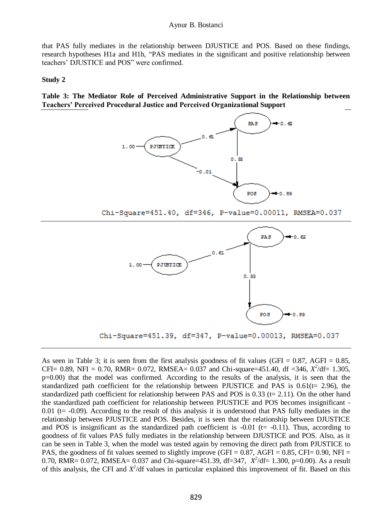that PAS fully mediates in the relationship between DJUSTICE and POS. Based on these findings, research hypotheses H1a and H1b, "PAS mediates in the significant and positive relationship between teachers' DJUSTICE and POS" were confirmed.

#### **Study 2**

**Table 3: The Mediator Role of Perceived Administrative Support in the Relationship between Teachers' Perceived Procedural Justice and Perceived Organizational Support**



Chi-Square=451.40, df=346, P-value=0.00011, RMSEA=0.037



Chi-Square=451.39, df=347, P-value=0.00013, RMSEA=0.037

As seen in Table 3; it is seen from the first analysis goodness of fit values (GFI =  $0.87$ , AGFI =  $0.85$ , CFI= 0.89, NFI = 0.70, RMR= 0.072, RMSEA= 0.037 and Chi-square=451.40, df =346,  $X^2/df = 1.305$ , p=0.00) that the model was confirmed. According to the results of the analysis, it is seen that the standardized path coefficient for the relationship between PJUSTICE and PAS is  $0.61(t= 2.96)$ , the standardized path coefficient for relationship between PAS and POS is  $0.33$  (t= 2.11). On the other hand the standardized path coefficient for relationship between PJUSTICE and POS becomes insignificant -  $0.01$  (t=  $-0.09$ ). According to the result of this analysis it is understood that PAS fully mediates in the relationship between PJUSTICE and POS. Besides, it is seen that the relationship between DJUSTICE and POS is insignificant as the standardized path coefficient is  $-0.01$  (t=  $-0.11$ ). Thus, according to goodness of fit values PAS fully mediates in the relationship between DJUSTICE and POS. Also, as it can be seen in Table 3, when the model was tested again by removing the direct path from PJUSTICE to PAS, the goodness of fit values seemed to slightly improve (GFI =  $0.87$ , AGFI =  $0.85$ , CFI=  $0.90$ , NFI = 0.70, RMR= 0.072, RMSEA= 0.037 and Chi-square=451.39, df=347,  $X^2/df= 1.300$ , p=0.00). As a result of this analysis, the CFI and  $X^2$ /df values in particular explained this improvement of fit. Based on this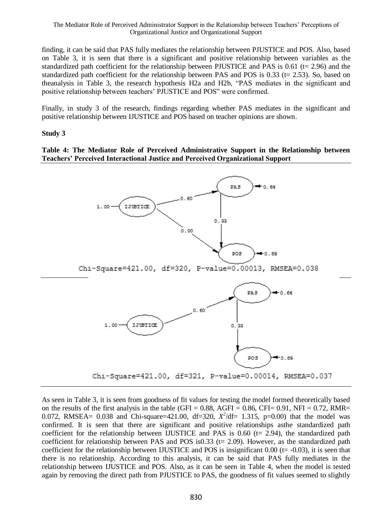finding, it can be said that PAS fully mediates the relationship between PJUSTICE and POS. Also, based on Table 3, it is seen that there is a significant and positive relationship between variables as the standardized path coefficient for the relationship between PJUSTICE and PAS is  $0.61$  (t= 2.96) and the standardized path coefficient for the relationship between PAS and POS is  $0.33$  ( $t = 2.53$ ). So, based on theanalysis in Table 3, the research hypothesis H2a and H2b, "PAS mediates in the significant and positive relationship between teachers' PJUSTICE and POS" were confirmed.

Finally, in study 3 of the research, findings regarding whether PAS mediates in the significant and positive relationship between IJUSTICE and POS based on teacher opinions are shown.

### **Study 3**

#### **Table 4: The Mediator Role of Perceived Administrative Support in the Relationship between Teachers' Perceived Interactional Justice and Perceived Organizational Support**



As seen in Table 3, it is seen from goodness of fit values for testing the model formed theoretically based on the results of the first analysis in the table (GFI =  $0.88$ , AGFI =  $0.86$ , CFI=  $0.91$ , NFI =  $0.72$ , RMR= 0.072, RMSEA= 0.038 and Chi-square=421.00, df=320,  $X^2$ /df= 1.315, p=0.00) that the model was confirmed. It is seen that there are significant and positive relationships asthe standardized path coefficient for the relationship between IJUSTICE and PAS is  $0.60$  (t= 2.94), the standardized path coefficient for relationship between PAS and POS is  $0.33$  (t= 2.09). However, as the standardized path coefficient for the relationship between IJUSTICE and POS is insignificant  $0.00$  (t=  $-0.03$ ), it is seen that there is no relationship. According to this analysis, it can be said that PAS fully mediates in the relationship between IJUSTICE and POS. Also, as it can be seen in Table 4, when the model is tested again by removing the direct path from PJUSTICE to PAS, the goodness of fit values seemed to slightly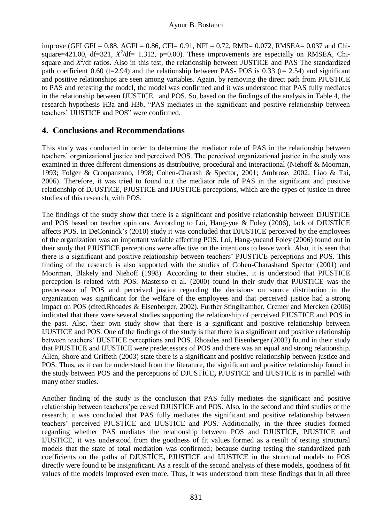#### Aynur B. Bostanci

improve (GFI GFI =  $0.88$ , AGFI =  $0.86$ , CFI=  $0.91$ , NFI =  $0.72$ , RMR=  $0.072$ , RMSEA=  $0.037$  and Chisquare=421.00, df=321,  $X^2$ /df= 1.312, p=0.00). These improvements are especially on RMSEA, Chisquare and  $X^2$ /df ratios. Also in this test, the relationship between JUSTICE and PAS The standardized path coefficient 0.60 (t=2.94) and the relationship between PAS- POS is 0.33 (t= 2.54) and significant and positive relationships are seen among variables. Again, by removing the direct path from PJUSTICE to PAS and retesting the model, the model was confirmed and it was understood that PAS fully mediates in the relationship between IJUSTICE and POS. So, based on the findings of the analysis in Table 4, the research hypothesis H3a and H3b, "PAS mediates in the significant and positive relationship between teachers' IJUSTICE and POS" were confirmed.

# **4. Conclusions and Recommendations**

This study was conducted in order to determine the mediator role of PAS in the relationship between teachers' organizational justice and perceived POS. The perceived organizational justice in the study was examined in three different dimensions as distributive, procedural and interactional (Niehoff & Moornan, 1993; Folger & Cronpanzano, 1998; Cohen-Charash & Spector, 2001; Ambrose, 2002; Liao & Tai, 2006). Therefore, it was tried to found out the mediator role of PAS in the significant and positive relationship of DJUSTICE, PJUSTICE and IJUSTICE perceptions, which are the types of justice in three studies of this research, with POS.

The findings of the study show that there is a significant and positive relationship between DJUSTICE and POS based on teacher opinions. According to Loi, Hang-yue & Foley (2006), lack of DJUSTİCE affects POS. In DeConinck's (2010) study it was concluded that DJUSTICE perceived by the employees of the organization was an important variable affecting POS. Loi, Hang-yueand Foley (2006) found out in their study that PJUSTICE perceptions were affective on the intentions to leave work. Also, it is seen that there is a significant and positive relationship between teachers' PJUSTICE perceptions and POS. This finding of the research is also supported with the studies of Cohen-Charashand Spector (2001) and Moorman, Blakely and Niehoff (1998). According to their studies, it is understood that PJUSTICE perception is related with POS. Masterso et al. (2000) found in their study that PJUSTICE was the predecessor of POS and perceived justice regarding the decisions on source distribution in the organization was significant for the welfare of the employees and that perceived justice had a strong impact on POS (cited.Rhoades & Eisenberger, 2002). Further Stinglhamber, Cremer and Mercken (2006) indicated that there were several studies supporting the relationship of perceived PJUSTICE and POS in the past. Also, their own study show that there is a significant and positive relationship between IJUSTICE and POS. One of the findings of the study is that there is a significant and positive relationship between teachers' IJUSTICE perceptions and POS. Rhoades and Eisenberger (2002) found in their study that PJUSTICE and IJUSTICE were predecessors of POS and there was an equal and strong relationship. Allen, Shore and Griffeth (2003) state there is a significant and positive relationship between justice and POS. Thus, as it can be understood from the literature, the significant and positive relationship found in the study between POS and the perceptions of DJUSTİCE**,** PJUSTICE and IJUSTICE is in parallel with many other studies.

Another finding of the study is the conclusion that PAS fully mediates the significant and positive relationship between teachers'perceived DJUSTİCE and POS. Also, in the second and third studies of the research, it was concluded that PAS fully mediates the significant and positive relationship between teachers' perceived PJUSTİCE and IJUSTICE and POS. Additionally, in the three studies formed regarding whether PAS mediates the relationship between POS and DJUSTİCE**,** PJUSTICE and IJUSTICE, it was understood from the goodness of fit values formed as a result of testing structural models that the state of total mediation was confirmed; because during testing the standardized path coefficients on the paths of DJUSTİCE**,** PJUSTICE and IJUSTICE in the structural models to POS directly were found to be insignificant. As a result of the second analysis of these models, goodness of fit values of the models improved even more. Thus, it was understood from these findings that in all three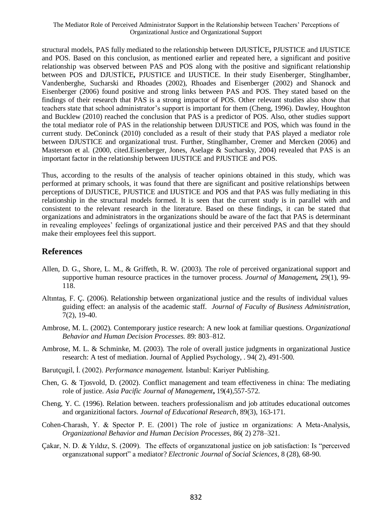structural models, PAS fully mediated to the relationship between DJUSTİCE**,** PJUSTICE and IJUSTICE and POS. Based on this conclusion, as mentioned earlier and repeated here, a significant and positive relationship was observed between PAS and POS along with the positive and significant relationship between POS and DJUSTİCE**,** PJUSTICE and IJUSTICE. In their study Eisenberger, Stinglhamber, Vandenberghe, Sucharski and Rhoades (2002), Rhoades and Eisenberger (2002) and Shanock and Eisenberger (2006) found positive and strong links between PAS and POS. They stated based on the findings of their research that PAS is a strong impactor of POS. Other relevant studies also show that teachers state that school administrator's support is important for them (Cheng, 1996). Dawley, Houghton and Bucklew (2010) reached the conclusion that PAS is a predictor of POS. Also, other studies support the total mediator role of PAS in the relationship between DJUSTICE and POS, which was found in the current study. DeConinck (2010) concluded as a result of their study that PAS played a mediator role between DJUSTICE and organizational trust. Further, Stinglhamber, Cremer and Mercken (2006) and Masterson et al. (2000, cited.Eisenberger, Jones, Aselage & Sucharsky, 2004) revealed that PAS is an important factor in the relationship between IJUSTICE and PJUSTICE and POS.

Thus, according to the results of the analysis of teacher opinions obtained in this study, which was performed at primary schools, it was found that there are significant and positive relationships between perceptions of DJUSTICE, PJUSTICE and IJUSTICE and POS and that PAS was fully mediating in this relationship in the structural models formed. It is seen that the current study is in parallel with and consistent to the relevant research in the literature. Based on these findings, it can be stated that organizations and administrators in the organizations should be aware of the fact that PAS is determinant in revealing employees' feelings of organizational justice and their perceived PAS and that they should make their employees feel this support.

# **References**

- Allen, D. G., Shore, L. M., & Griffeth, R. W. (2003). The role of perceived organizational support and supportive human resource practices in the turnover process. *Journal of Management,* 29(1), 99- 118.
- Altıntaş, F. Ç. (2006). Relationship between organizational justice and the results of individual values guiding effect: an analysis of the academic staff. *Journal of Faculty of Business Administration*, 7(2), 19-40.
- Ambrose, M. L. (2002). Contemporary justice research: A new look at familiar questions. O*rganizational Behavior and Human Decision Processes.* 89: 803–812.
- Ambrose, M. L. & Schminke, M. (2003). The role of overall justice judgments in organizational Justice research: A test of mediation. Journal of Applied Psychology, . 94( 2), 491-500.
- Barutçugil, İ. (2002). *Performance management.* İstanbul: Kariyer Publishing.
- Chen, G. & Tjosvold, D. (2002). Conflict management and team effectiveness in china: The mediating role of justice. *Asia Pacific Journal of Management***,** 19(4),557-572.
- Cheng, Y. C. (1996). Relation between. teachers professionalism and job attitudes educational outcomes and organizitional factors. *Journal of Educational Research*, 89(3), 163-171.
- Cohen-Charash, Y. & Spector P. E. (2001) The role of justice ın organizations: A Meta-Analysis, *Organizational Behavior and Human Decision Processes,* 86( 2) 278–321.
- Çakar, N. D. & Yıldız, S. (2009). The effects of organızatıonal justice on job satisfaction: Is "perceıved organızatıonal support" a mediator? *Electronic Journal of Social Sciences*, 8 (28), 68-90.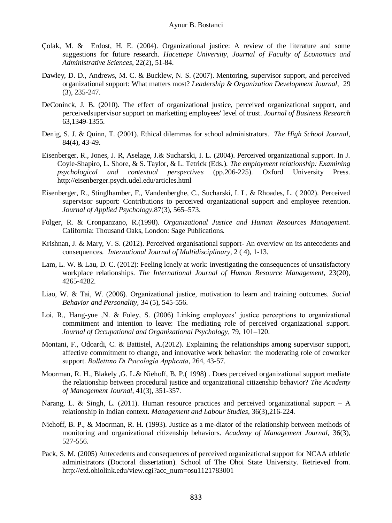- Çolak, M. & Erdost, H. E. (2004). Organizational justice: A review of the literature and some suggestions for future research. *Hacettepe University, Journal of Faculty of Economics and Administrative Sciences*, 22(2), 51-84.
- Dawley, D. D., Andrews, M. C. & Bucklew, N. S. (2007). Mentoring, supervisor support, and perceived organizational support: What matters most? *Leadership & Organization Development Journal,* 29 (3), 235-247.
- DeConinck, J. B. (2010). The effect of organizational justice, perceived organizational support, and perceivedsupervisor support on marketting employees' level of trust. *Journal of Business Research* 63,1349-1355.
- Denig, S. J. & Quinn, T. (2001). Ethical dilemmas for school administrators*. The High School Journal*, 84(4), 43-49.
- Eisenberger, R., Jones, J. R, Aselage, J.& Sucharski, I. L. (2004). Perceived organizational support. In J. Coyle-Shapiro, L. Shore, & S. Taylor, & L. Tetrick (Eds.). *The employment relationship: Examining psychological and contextual perspectives* (pp.206-225). Oxford University Press. http://eisenberger.psych.udel.edu/articles.html
- Eisenberger, R., Stinglhamber, F., Vandenberghe, C., Sucharski, I. L. & Rhoades, L. ( 2002). Perceived supervisor support: Contributions to perceived organizational support and employee retention. *Journal of Applied Psychology*,87(3), 565–573.
- Folger, R. & Cronpanzano, R.(1998). *Organizational Justice and Human Resources Management.*  California: Thousand Oaks, London: Sage Publications.
- Krishnan, J. & Mary, V. S. (2012). Perceived organisational support- An overview on its antecedents and consequences*. International Journal of Multidisciplinary*, 2 ( 4), 1-13.
- Lam, L. W. & Lau, D. C. (2012): Feeling lonely at work: investigating the consequences of unsatisfactory workplace relationships. *The International Journal of Human Resource Management*, 23(20), 4265-4282.
- Liao, W. & Tai, W. (2006). Organizational justice, motivation to learn and training outcomes. *Social Behavior and Personality,* 34 (5), 545-556.
- Loi, R., Hang-yue ,N. & Foley, S. (2006) Linking employees' justice perceptions to organizational commitment and intention to leave: The mediating role of perceived organizational support. *Journal of Occupational and Organizational Psychology*, 79, 101–120.
- Montani, F., Odoardi, C. & Battistel, A.(2012). Explaining the relationships among supervisor support, affective commitment to change, and innovative work behavior: the moderating role of coworker support. *Bollettıno Dı Psıcología Applıcata*, 264, 43-57.
- Moorman, R. H., Blakely ,G. L.& Niehoff, B. P.( 1998) . Does perceived organizational support mediate the relationship between procedural justice and organizational citizenship behavior? *The Academy of Management Journal*, 41(3), 351-357.
- Narang, L. & Singh, L. (2011). Human resource practices and perceived organizational support A relationship in Indian context*. Management and Labour Studies*, 36(3),216-224.
- Niehoff, B. P., & Moorman, R. H. (1993). Justice as a me-diator of the relationship between methods of monitoring and organizational citizenship behaviors. *Academy of Management Journal*, 36(3), 527-556.
- Pack, S. M. (2005) Antecedents and consequences of perceived organizational support for NCAA athletic administrators (Doctoral dissertation). School of The Ohoi State University. Retrieved from. http://etd.ohiolink.edu/view.cgi?acc\_num=osu1121783001